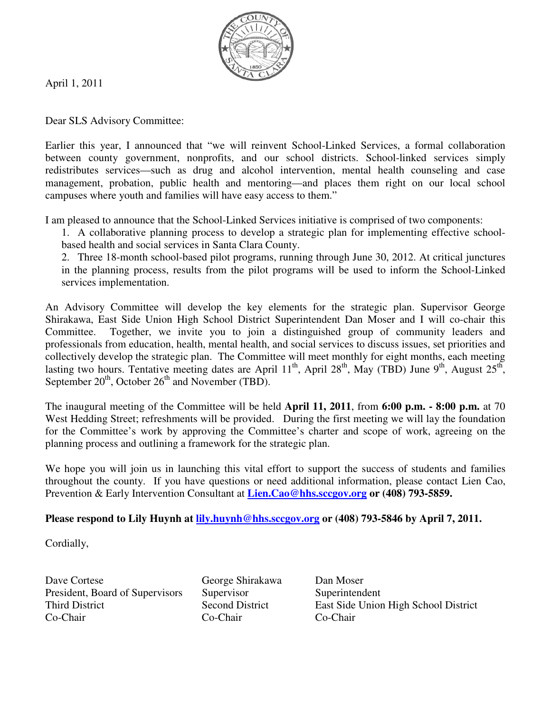

April 1, 2011

Dear SLS Advisory Committee:

Earlier this year, I announced that "we will reinvent School-Linked Services, a formal collaboration between county government, nonprofits, and our school districts. School-linked services simply redistributes services—such as drug and alcohol intervention, mental health counseling and case management, probation, public health and mentoring—and places them right on our local school campuses where youth and families will have easy access to them."

I am pleased to announce that the School-Linked Services initiative is comprised of two components:

1. A collaborative planning process to develop a strategic plan for implementing effective schoolbased health and social services in Santa Clara County.

2. Three 18-month school-based pilot programs, running through June 30, 2012. At critical junctures in the planning process, results from the pilot programs will be used to inform the School-Linked services implementation.

An Advisory Committee will develop the key elements for the strategic plan. Supervisor George Shirakawa, East Side Union High School District Superintendent Dan Moser and I will co-chair this Committee. Together, we invite you to join a distinguished group of community leaders and professionals from education, health, mental health, and social services to discuss issues, set priorities and collectively develop the strategic plan. The Committee will meet monthly for eight months, each meeting lasting two hours. Tentative meeting dates are April 11<sup>th</sup>, April 28<sup>th</sup>, May (TBD) June 9<sup>th</sup>, August 25<sup>th</sup>, September  $20<sup>th</sup>$ , October  $26<sup>th</sup>$  and November (TBD).

The inaugural meeting of the Committee will be held **April 11, 2011**, from **6:00 p.m. - 8:00 p.m.** at 70 West Hedding Street; refreshments will be provided. During the first meeting we will lay the foundation for the Committee's work by approving the Committee's charter and scope of work, agreeing on the planning process and outlining a framework for the strategic plan.

We hope you will join us in launching this vital effort to support the success of students and families throughout the county. If you have questions or need additional information, please contact Lien Cao, Prevention & Early Intervention Consultant at **Lien.Cao@hhs.sccgov.org or (408) 793-5859.**

#### Please respond to Lily Huynh at **lily.huynh@hhs.sccgov.org** or (408) 793-5846 by April 7, 2011.

Cordially,

Dave Cortese George Shirakawa Dan Moser President, Board of Supervisors Supervisor Superintendent Co-Chair Co-Chair Co-Chair

Third District Second District East Side Union High School District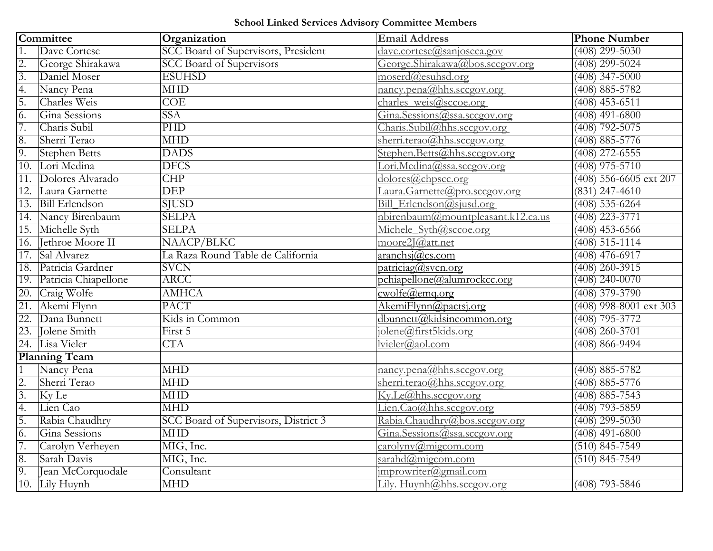# School Linked Services Advisory Committee Members

| Committee                      |                       | Organization                         | <b>Email Address</b>                                    | <b>Phone Number</b>      |
|--------------------------------|-----------------------|--------------------------------------|---------------------------------------------------------|--------------------------|
| $\overline{1}$ .               | Dave Cortese          | SCC Board of Supervisors, President  | dave.cortese@sanjoseca.gov                              | $(408)$ 299-5030         |
| $\frac{1}{2}$<br>$\frac{2}{3}$ | George Shirakawa      | <b>SCC Board of Supervisors</b>      | George.Shirakawa@bos.sccgov.org                         | $(408)$ 299-5024         |
|                                | Daniel Moser          | <b>ESUHSD</b>                        | moserd@esuhsd.org                                       | $(408)$ 347-5000         |
| 4.                             | Nancy Pena            | <b>MHD</b>                           | $n\text{ancy.}$ pena $\textcircled{a}$ hhs.sccgov.org   | $(408) 885 - 5782$       |
| 5.                             | Charles Weis          | COE                                  | charles weis@sccoe.org                                  | $(408)$ 453-6511         |
| 6.                             | Gina Sessions         | <b>SSA</b>                           | Gina.Sessions@ssa.sccgov.org                            | $(408)$ 491-6800         |
| $\overline{7}$ .               | Charis Subil          | $\overline{\mathrm{PHD}}$            | Charis.Subil@hhs.sccgov.org                             | $(408)$ 792-5075         |
| 8.                             | Sherri Terao          | <b>MHD</b>                           | sherri.terao@hhs.sccgov.org                             | $(408) 885 - 5776$       |
| 9.                             | <b>Stephen Betts</b>  | <b>DADS</b>                          | Stephen.Betts@hhs.sccgov.org                            | $(408)$ 272-6555         |
| $\overline{10}$ .              | Lori Medina           | <b>DFCS</b>                          | Lori.Medina@ssa.sccgov.org                              | $(408)$ 975-5710         |
| 11.                            | Dolores Alvarado      | CHP                                  | dolores@chpscc.org                                      | (408) 556-6605 ext 207   |
| $\overline{12}$ .              | Laura Garnette        | $\overline{\rm DEP}$                 | Laura.Garnette@pro.sccgov.org                           | $(831)$ 247-4610         |
| $\overline{13}$ .              | <b>Bill Erlendson</b> | <b>SJUSD</b>                         | Bill Erlendson@sjusd.org                                | $(408)$ 535-6264         |
| 14.                            | Nancy Birenbaum       | <b>SELPA</b>                         | nbirenbaum@mountpleasant.k12.ca.us                      | $(408)$ 223-3771         |
| $\overline{15}$ .              | Michelle Syth         | <b>SELPA</b>                         | Michele Syth@sccoe.org                                  | $(408)$ 453-6566         |
| 16.                            | Jethroe Moore II      | NAACP/BLKC                           | moore2J@att.net                                         | $(408)$ 515-1114         |
| 17.                            | Sal Alvarez           | La Raza Round Table de California    | aranchsi@cs.com                                         | $(408)$ 476-6917         |
| 18.                            | Patricia Gardner      | <b>SVCN</b>                          | particiaq@svcn.org                                      | $(408)$ 260-3915         |
| 19.                            | Patricia Chiapellone  | ARCC                                 | pchiapellone@alumrockcc.org                             | $(408)$ 240-0070         |
| 20.                            | Craig Wolfe           | <b>AMHCA</b>                         | $\c{c}$ wolfe@emq.org                                   | $(408)$ 379-3790         |
| 21.                            | Akemi Flynn           | <b>PACT</b>                          | AkemiFlynn@pactsj.org                                   | $(408)$ 998-8001 ext 303 |
| 22.                            | Dana Bunnett          | Kids in Common                       | dbunnett@kidsincommon.org                               | $(408)$ 795-3772         |
| 23.                            | Jolene Smith          | First 5                              | jolene@first5kids.org                                   | $(408)$ 260-3701         |
| 24.                            | Lisa Vieler           | $\overline{CTA}$                     | lvieler@aol.com                                         | $(408) 866 - 9494$       |
|                                | <b>Planning Team</b>  |                                      |                                                         |                          |
| $\overline{1}$                 | Nancy Pena            | <b>MHD</b>                           | $n\text{ancy.} \text{pena}(\widehat{a})$ hhs.sccgov.org | $(408) 885 - 5782$       |
| $\frac{2}{3}$                  | Sherri Terao          | <b>MHD</b>                           | sherri.terao@hhs.sccgov.org                             | $(408) 885 - 5776$       |
|                                | Ky Le                 | <b>MHD</b>                           | Ky.Le@hhs.sccgov.org                                    | $(408) 885 - 7543$       |
| 4.                             | Lien Cao              | <b>MHD</b>                           | Lien. $Cao(a)$ hhs.sccgov.org                           | $(408)$ 793-5859         |
| 5.                             | Rabia Chaudhry        | SCC Board of Supervisors, District 3 | Rabia.Chaudhry@bos.sccgov.org                           | $(408)$ 299-5030         |
| 6.                             | Gina Sessions         | <b>MHD</b>                           | Gina.Sessions@ssa.sccgov.org                            | $(408)$ 491-6800         |
| $\overline{7}$ .               | Carolyn Verheyen      | MIG, Inc.                            | $\frac{ \text{carolynv}(a)}{a \text{migcom.com}}$       | $(510)$ 845-7549         |
| 8.                             | Sarah Davis           | MIG, Inc.                            | sarahd@migcom.com                                       | $(510) 845 - 7549$       |
| 9.                             | Jean McCorquodale     | Consultant                           | $improwriter(\omega)$ gmail.com                         |                          |
| $\overline{10}$ .              | Lily Huynh            | <b>MHD</b>                           | Lily. Huynh@hhs.sccgov.org                              | $(408)$ 793-5846         |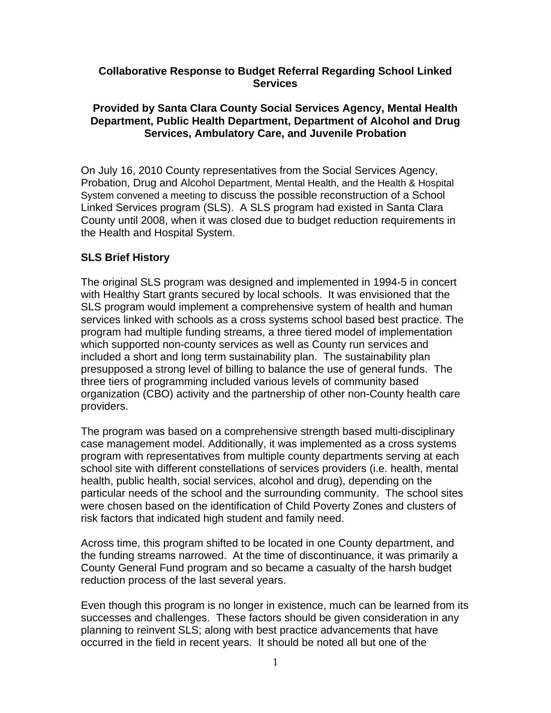#### **Collaborative Response to Budget Referral Regarding School Linked Services**

#### **Provided by Santa Clara County Social Services Agency, Mental Health Department, Public Health Department, Department of Alcohol and Drug Services, Ambulatory Care, and Juvenile Probation**

On July 16, 2010 County representatives from the Social Services Agency, Probation, Drug and Alcohol Department, Mental Health, and the Health & Hospital System convened a meeting to discuss the possible reconstruction of a School Linked Services program (SLS). A SLS program had existed in Santa Clara County until 2008, when it was closed due to budget reduction requirements in the Health and Hospital System.

#### **SLS Brief History**

The original SLS program was designed and implemented in 1994-5 in concert with Healthy Start grants secured by local schools. It was envisioned that the SLS program would implement a comprehensive system of health and human services linked with schools as a cross systems school based best practice. The program had multiple funding streams, a three tiered model of implementation which supported non-county services as well as County run services and included a short and long term sustainability plan. The sustainability plan presupposed a strong level of billing to balance the use of general funds. The three tiers of programming included various levels of community based organization (CBO) activity and the partnership of other non-County health care providers.

The program was based on a comprehensive strength based multi-disciplinary case management model. Additionally, it was implemented as a cross systems program with representatives from multiple county departments serving at each school site with different constellations of services providers (i.e. health, mental health, public health, social services, alcohol and drug), depending on the particular needs of the school and the surrounding community. The school sites were chosen based on the identification of Child Poverty Zones and clusters of risk factors that indicated high student and family need.

Across time, this program shifted to be located in one County department, and the funding streams narrowed. At the time of discontinuance, it was primarily a County General Fund program and so became a casualty of the harsh budget reduction process of the last several years.

Even though this program is no longer in existence, much can be learned from its successes and challenges. These factors should be given consideration in any planning to reinvent SLS; along with best practice advancements that have occurred in the field in recent years. It should be noted all but one of the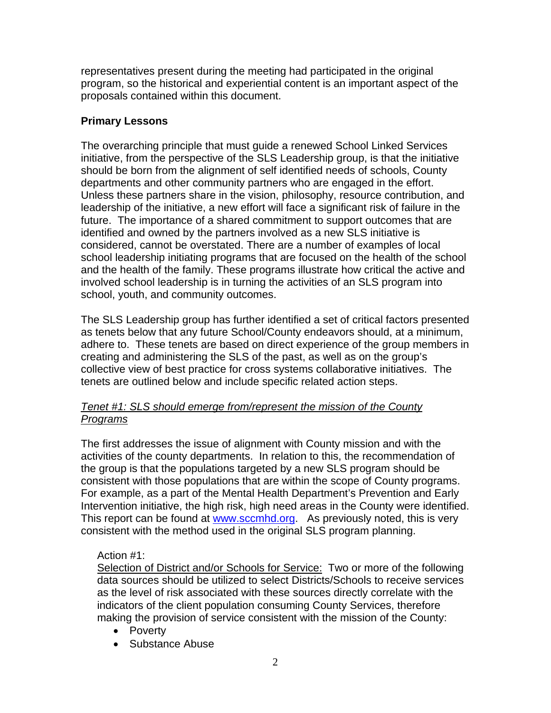representatives present during the meeting had participated in the original program, so the historical and experiential content is an important aspect of the proposals contained within this document.

#### **Primary Lessons**

The overarching principle that must guide a renewed School Linked Services initiative, from the perspective of the SLS Leadership group, is that the initiative should be born from the alignment of self identified needs of schools, County departments and other community partners who are engaged in the effort. Unless these partners share in the vision, philosophy, resource contribution, and leadership of the initiative, a new effort will face a significant risk of failure in the future. The importance of a shared commitment to support outcomes that are identified and owned by the partners involved as a new SLS initiative is considered, cannot be overstated. There are a number of examples of local school leadership initiating programs that are focused on the health of the school and the health of the family. These programs illustrate how critical the active and involved school leadership is in turning the activities of an SLS program into school, youth, and community outcomes.

The SLS Leadership group has further identified a set of critical factors presented as tenets below that any future School/County endeavors should, at a minimum, adhere to. These tenets are based on direct experience of the group members in creating and administering the SLS of the past, as well as on the group's collective view of best practice for cross systems collaborative initiatives. The tenets are outlined below and include specific related action steps.

#### *Tenet #1: SLS should emerge from/represent the mission of the County Programs*

The first addresses the issue of alignment with County mission and with the activities of the county departments. In relation to this, the recommendation of the group is that the populations targeted by a new SLS program should be consistent with those populations that are within the scope of County programs. For example, as a part of the Mental Health Department's Prevention and Early Intervention initiative, the high risk, high need areas in the County were identified. This report can be found at www.sccmhd.org. As previously noted, this is very consistent with the method used in the original SLS program planning.

#### Action #1:

Selection of District and/or Schools for Service: Two or more of the following data sources should be utilized to select Districts/Schools to receive services as the level of risk associated with these sources directly correlate with the indicators of the client population consuming County Services, therefore making the provision of service consistent with the mission of the County:

- Poverty
- Substance Abuse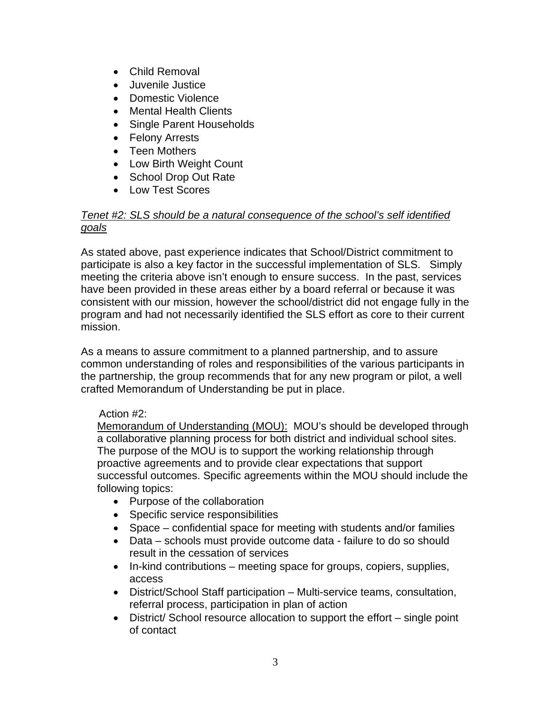- Child Removal
- Juvenile Justice
- Domestic Violence
- Mental Health Clients
- Single Parent Households
- Felony Arrests
- Teen Mothers
- Low Birth Weight Count
- School Drop Out Rate
- Low Test Scores

#### *Tenet #2: SLS should be a natural consequence of the school's self identified goals*

As stated above, past experience indicates that School/District commitment to participate is also a key factor in the successful implementation of SLS. Simply meeting the criteria above isn't enough to ensure success. In the past, services have been provided in these areas either by a board referral or because it was consistent with our mission, however the school/district did not engage fully in the program and had not necessarily identified the SLS effort as core to their current mission.

As a means to assure commitment to a planned partnership, and to assure common understanding of roles and responsibilities of the various participants in the partnership, the group recommends that for any new program or pilot, a well crafted Memorandum of Understanding be put in place.

#### Action #2:

Memorandum of Understanding (MOU): MOU's should be developed through a collaborative planning process for both district and individual school sites. The purpose of the MOU is to support the working relationship through proactive agreements and to provide clear expectations that support successful outcomes. Specific agreements within the MOU should include the following topics:

- Purpose of the collaboration
- Specific service responsibilities
- Space confidential space for meeting with students and/or families
- Data schools must provide outcome data failure to do so should result in the cessation of services
- In-kind contributions meeting space for groups, copiers, supplies, access
- District/School Staff participation Multi-service teams, consultation, referral process, participation in plan of action
- District/ School resource allocation to support the effort single point of contact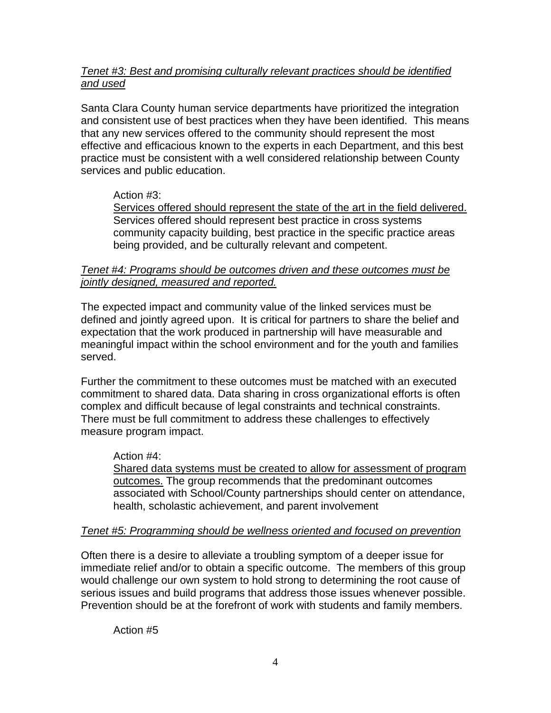#### *Tenet #3: Best and promising culturally relevant practices should be identified and used*

Santa Clara County human service departments have prioritized the integration and consistent use of best practices when they have been identified. This means that any new services offered to the community should represent the most effective and efficacious known to the experts in each Department, and this best practice must be consistent with a well considered relationship between County services and public education.

#### Action #3:

Services offered should represent the state of the art in the field delivered. Services offered should represent best practice in cross systems community capacity building, best practice in the specific practice areas being provided, and be culturally relevant and competent.

#### *Tenet #4: Programs should be outcomes driven and these outcomes must be jointly designed, measured and reported.*

The expected impact and community value of the linked services must be defined and jointly agreed upon. It is critical for partners to share the belief and expectation that the work produced in partnership will have measurable and meaningful impact within the school environment and for the youth and families served.

Further the commitment to these outcomes must be matched with an executed commitment to shared data. Data sharing in cross organizational efforts is often complex and difficult because of legal constraints and technical constraints. There must be full commitment to address these challenges to effectively measure program impact.

#### Action #4:

Shared data systems must be created to allow for assessment of program outcomes. The group recommends that the predominant outcomes associated with School/County partnerships should center on attendance, health, scholastic achievement, and parent involvement

#### *Tenet #5: Programming should be wellness oriented and focused on prevention*

Often there is a desire to alleviate a troubling symptom of a deeper issue for immediate relief and/or to obtain a specific outcome. The members of this group would challenge our own system to hold strong to determining the root cause of serious issues and build programs that address those issues whenever possible. Prevention should be at the forefront of work with students and family members.

Action #5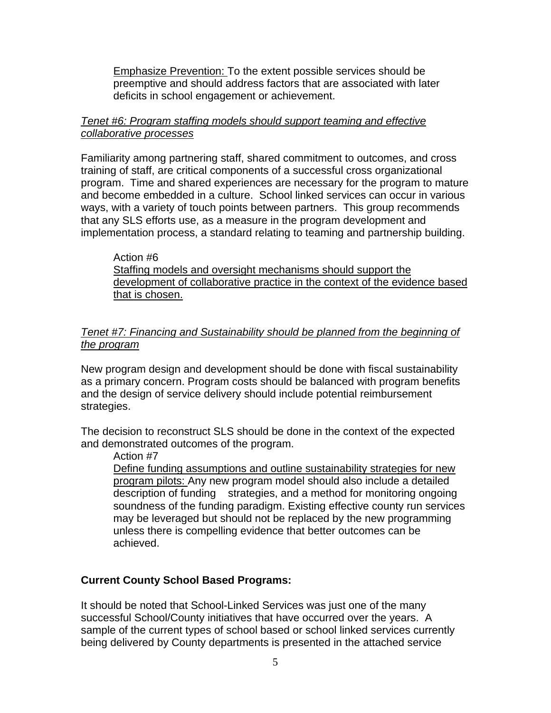Emphasize Prevention: To the extent possible services should be preemptive and should address factors that are associated with later deficits in school engagement or achievement.

#### *Tenet #6: Program staffing models should support teaming and effective collaborative processes*

Familiarity among partnering staff, shared commitment to outcomes, and cross training of staff, are critical components of a successful cross organizational program. Time and shared experiences are necessary for the program to mature and become embedded in a culture. School linked services can occur in various ways, with a variety of touch points between partners. This group recommends that any SLS efforts use, as a measure in the program development and implementation process, a standard relating to teaming and partnership building.

Action #6 Staffing models and oversight mechanisms should support the development of collaborative practice in the context of the evidence based that is chosen.

#### *Tenet #7: Financing and Sustainability should be planned from the beginning of the program*

New program design and development should be done with fiscal sustainability as a primary concern. Program costs should be balanced with program benefits and the design of service delivery should include potential reimbursement strategies.

The decision to reconstruct SLS should be done in the context of the expected and demonstrated outcomes of the program.

Action #7

Define funding assumptions and outline sustainability strategies for new program pilots: Any new program model should also include a detailed description of funding strategies, and a method for monitoring ongoing soundness of the funding paradigm. Existing effective county run services may be leveraged but should not be replaced by the new programming unless there is compelling evidence that better outcomes can be achieved.

#### **Current County School Based Programs:**

It should be noted that School-Linked Services was just one of the many successful School/County initiatives that have occurred over the years. A sample of the current types of school based or school linked services currently being delivered by County departments is presented in the attached service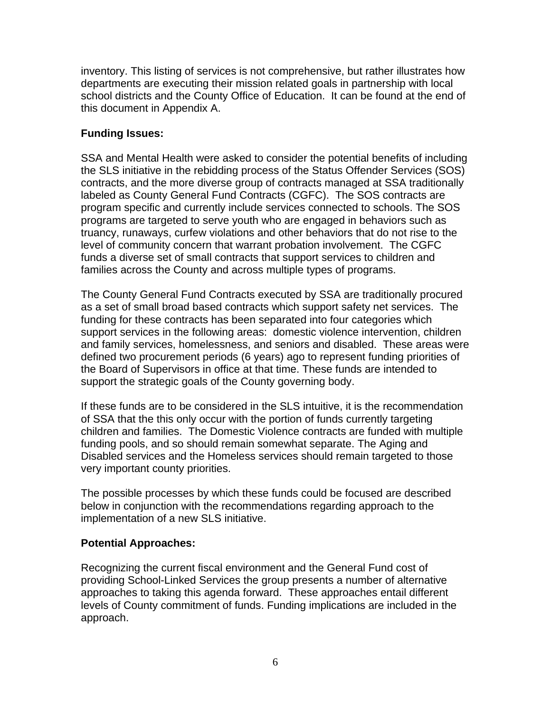inventory. This listing of services is not comprehensive, but rather illustrates how departments are executing their mission related goals in partnership with local school districts and the County Office of Education. It can be found at the end of this document in Appendix A.

#### **Funding Issues:**

SSA and Mental Health were asked to consider the potential benefits of including the SLS initiative in the rebidding process of the Status Offender Services (SOS) contracts, and the more diverse group of contracts managed at SSA traditionally labeled as County General Fund Contracts (CGFC). The SOS contracts are program specific and currently include services connected to schools. The SOS programs are targeted to serve youth who are engaged in behaviors such as truancy, runaways, curfew violations and other behaviors that do not rise to the level of community concern that warrant probation involvement. The CGFC funds a diverse set of small contracts that support services to children and families across the County and across multiple types of programs.

The County General Fund Contracts executed by SSA are traditionally procured as a set of small broad based contracts which support safety net services. The funding for these contracts has been separated into four categories which support services in the following areas: domestic violence intervention, children and family services, homelessness, and seniors and disabled. These areas were defined two procurement periods (6 years) ago to represent funding priorities of the Board of Supervisors in office at that time. These funds are intended to support the strategic goals of the County governing body.

If these funds are to be considered in the SLS intuitive, it is the recommendation of SSA that the this only occur with the portion of funds currently targeting children and families. The Domestic Violence contracts are funded with multiple funding pools, and so should remain somewhat separate. The Aging and Disabled services and the Homeless services should remain targeted to those very important county priorities.

The possible processes by which these funds could be focused are described below in conjunction with the recommendations regarding approach to the implementation of a new SLS initiative.

#### **Potential Approaches:**

Recognizing the current fiscal environment and the General Fund cost of providing School-Linked Services the group presents a number of alternative approaches to taking this agenda forward. These approaches entail different levels of County commitment of funds. Funding implications are included in the approach.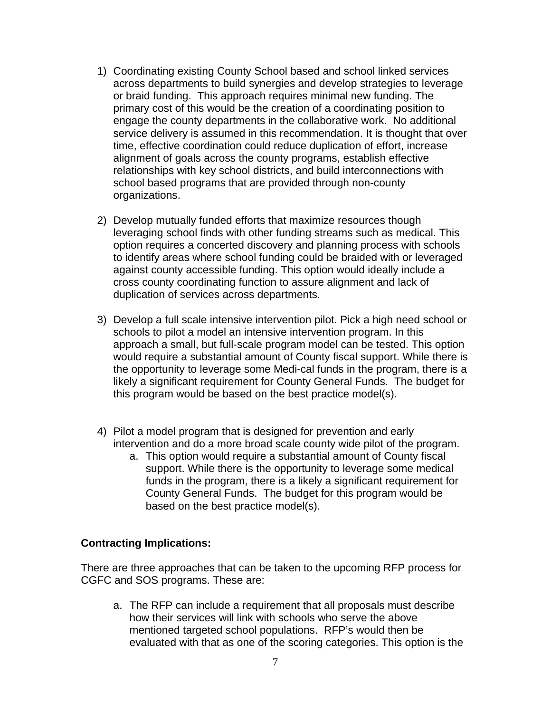- 1) Coordinating existing County School based and school linked services across departments to build synergies and develop strategies to leverage or braid funding. This approach requires minimal new funding. The primary cost of this would be the creation of a coordinating position to engage the county departments in the collaborative work. No additional service delivery is assumed in this recommendation. It is thought that over time, effective coordination could reduce duplication of effort, increase alignment of goals across the county programs, establish effective relationships with key school districts, and build interconnections with school based programs that are provided through non-county organizations.
- 2) Develop mutually funded efforts that maximize resources though leveraging school finds with other funding streams such as medical. This option requires a concerted discovery and planning process with schools to identify areas where school funding could be braided with or leveraged against county accessible funding. This option would ideally include a cross county coordinating function to assure alignment and lack of duplication of services across departments.
- 3) Develop a full scale intensive intervention pilot. Pick a high need school or schools to pilot a model an intensive intervention program. In this approach a small, but full-scale program model can be tested. This option would require a substantial amount of County fiscal support. While there is the opportunity to leverage some Medi-cal funds in the program, there is a likely a significant requirement for County General Funds. The budget for this program would be based on the best practice model(s).
- 4) Pilot a model program that is designed for prevention and early intervention and do a more broad scale county wide pilot of the program.
	- a. This option would require a substantial amount of County fiscal support. While there is the opportunity to leverage some medical funds in the program, there is a likely a significant requirement for County General Funds. The budget for this program would be based on the best practice model(s).

#### **Contracting Implications:**

There are three approaches that can be taken to the upcoming RFP process for CGFC and SOS programs. These are:

a. The RFP can include a requirement that all proposals must describe how their services will link with schools who serve the above mentioned targeted school populations. RFP's would then be evaluated with that as one of the scoring categories. This option is the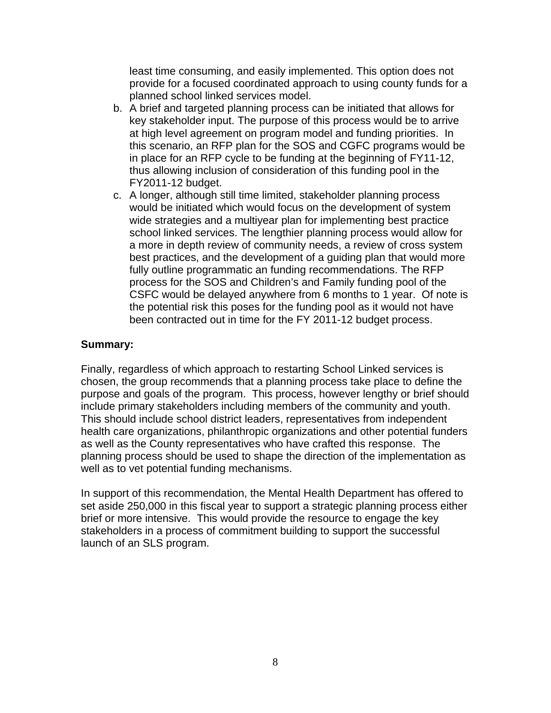least time consuming, and easily implemented. This option does not provide for a focused coordinated approach to using county funds for a planned school linked services model.

- b. A brief and targeted planning process can be initiated that allows for key stakeholder input. The purpose of this process would be to arrive at high level agreement on program model and funding priorities. In this scenario, an RFP plan for the SOS and CGFC programs would be in place for an RFP cycle to be funding at the beginning of FY11-12, thus allowing inclusion of consideration of this funding pool in the FY2011-12 budget.
- c. A longer, although still time limited, stakeholder planning process would be initiated which would focus on the development of system wide strategies and a multiyear plan for implementing best practice school linked services. The lengthier planning process would allow for a more in depth review of community needs, a review of cross system best practices, and the development of a guiding plan that would more fully outline programmatic an funding recommendations. The RFP process for the SOS and Children's and Family funding pool of the CSFC would be delayed anywhere from 6 months to 1 year. Of note is the potential risk this poses for the funding pool as it would not have been contracted out in time for the FY 2011-12 budget process.

#### **Summary:**

Finally, regardless of which approach to restarting School Linked services is chosen, the group recommends that a planning process take place to define the purpose and goals of the program. This process, however lengthy or brief should include primary stakeholders including members of the community and youth. This should include school district leaders, representatives from independent health care organizations, philanthropic organizations and other potential funders as well as the County representatives who have crafted this response. The planning process should be used to shape the direction of the implementation as well as to vet potential funding mechanisms.

In support of this recommendation, the Mental Health Department has offered to set aside 250,000 in this fiscal year to support a strategic planning process either brief or more intensive. This would provide the resource to engage the key stakeholders in a process of commitment building to support the successful launch of an SLS program.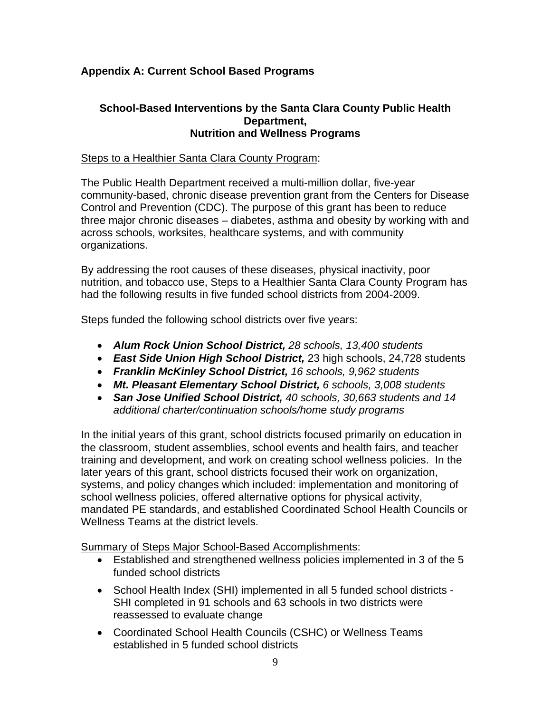#### **Appendix A: Current School Based Programs**

#### **School-Based Interventions by the Santa Clara County Public Health Department, Nutrition and Wellness Programs**

#### Steps to a Healthier Santa Clara County Program:

The Public Health Department received a multi-million dollar, five-year community-based, chronic disease prevention grant from the Centers for Disease Control and Prevention (CDC). The purpose of this grant has been to reduce three major chronic diseases – diabetes, asthma and obesity by working with and across schools, worksites, healthcare systems, and with community organizations.

By addressing the root causes of these diseases, physical inactivity, poor nutrition, and tobacco use, Steps to a Healthier Santa Clara County Program has had the following results in five funded school districts from 2004-2009.

Steps funded the following school districts over five years:

- *Alum Rock Union School District, 28 schools, 13,400 students*
- *East Side Union High School District,* 23 high schools, 24,728 students
- *Franklin McKinley School District, 16 schools, 9,962 students*
- *Mt. Pleasant Elementary School District, 6 schools, 3,008 students*
- *San Jose Unified School District, 40 schools, 30,663 students and 14 additional charter/continuation schools/home study programs*

In the initial years of this grant, school districts focused primarily on education in the classroom, student assemblies, school events and health fairs, and teacher training and development, and work on creating school wellness policies. In the later years of this grant, school districts focused their work on organization, systems, and policy changes which included: implementation and monitoring of school wellness policies, offered alternative options for physical activity, mandated PE standards, and established Coordinated School Health Councils or Wellness Teams at the district levels.

Summary of Steps Major School-Based Accomplishments:

- Established and strengthened wellness policies implemented in 3 of the 5 funded school districts
- School Health Index (SHI) implemented in all 5 funded school districts SHI completed in 91 schools and 63 schools in two districts were reassessed to evaluate change
- Coordinated School Health Councils (CSHC) or Wellness Teams established in 5 funded school districts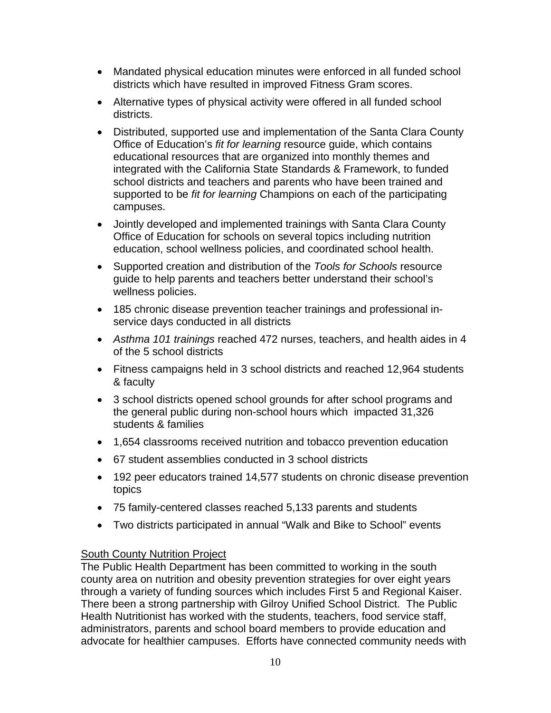- Mandated physical education minutes were enforced in all funded school districts which have resulted in improved Fitness Gram scores.
- Alternative types of physical activity were offered in all funded school districts.
- Distributed, supported use and implementation of the Santa Clara County Office of Education's *fit for learning* resource guide, which contains educational resources that are organized into monthly themes and integrated with the California State Standards & Framework, to funded school districts and teachers and parents who have been trained and supported to be *fit for learning* Champions on each of the participating campuses.
- Jointly developed and implemented trainings with Santa Clara County Office of Education for schools on several topics including nutrition education, school wellness policies, and coordinated school health.
- Supported creation and distribution of the *Tools for Schools* resource guide to help parents and teachers better understand their school's wellness policies.
- 185 chronic disease prevention teacher trainings and professional inservice days conducted in all districts
- *Asthma 101 trainings* reached 472 nurses, teachers, and health aides in 4 of the 5 school districts
- Fitness campaigns held in 3 school districts and reached 12,964 students & faculty
- 3 school districts opened school grounds for after school programs and the general public during non-school hours which impacted 31,326 students & families
- 1,654 classrooms received nutrition and tobacco prevention education
- 67 student assemblies conducted in 3 school districts
- 192 peer educators trained 14,577 students on chronic disease prevention topics
- 75 family-centered classes reached 5,133 parents and students
- Two districts participated in annual "Walk and Bike to School" events

#### South County Nutrition Project

The Public Health Department has been committed to working in the south county area on nutrition and obesity prevention strategies for over eight years through a variety of funding sources which includes First 5 and Regional Kaiser. There been a strong partnership with Gilroy Unified School District. The Public Health Nutritionist has worked with the students, teachers, food service staff, administrators, parents and school board members to provide education and advocate for healthier campuses. Efforts have connected community needs with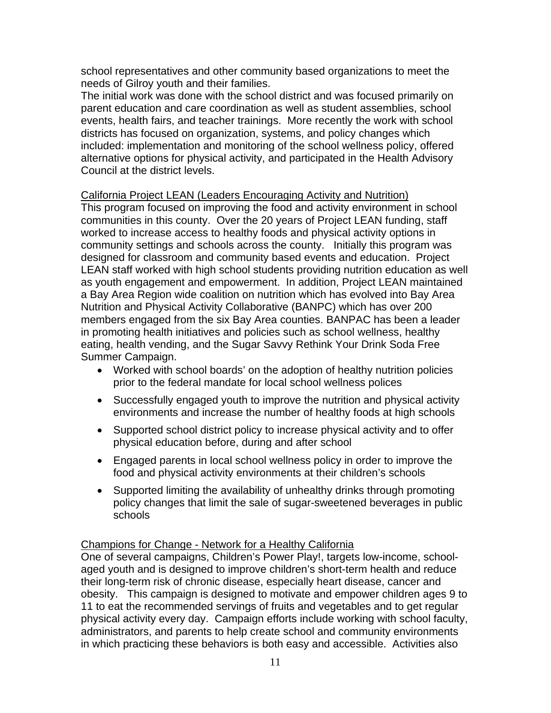school representatives and other community based organizations to meet the needs of Gilroy youth and their families.

The initial work was done with the school district and was focused primarily on parent education and care coordination as well as student assemblies, school events, health fairs, and teacher trainings. More recently the work with school districts has focused on organization, systems, and policy changes which included: implementation and monitoring of the school wellness policy, offered alternative options for physical activity, and participated in the Health Advisory Council at the district levels.

#### California Project LEAN (Leaders Encouraging Activity and Nutrition)

This program focused on improving the food and activity environment in school communities in this county. Over the 20 years of Project LEAN funding, staff worked to increase access to healthy foods and physical activity options in community settings and schools across the county. Initially this program was designed for classroom and community based events and education. Project LEAN staff worked with high school students providing nutrition education as well as youth engagement and empowerment. In addition, Project LEAN maintained a Bay Area Region wide coalition on nutrition which has evolved into Bay Area Nutrition and Physical Activity Collaborative (BANPC) which has over 200 members engaged from the six Bay Area counties. BANPAC has been a leader in promoting health initiatives and policies such as school wellness, healthy eating, health vending, and the Sugar Savvy Rethink Your Drink Soda Free Summer Campaign.

- Worked with school boards' on the adoption of healthy nutrition policies prior to the federal mandate for local school wellness polices
- Successfully engaged youth to improve the nutrition and physical activity environments and increase the number of healthy foods at high schools
- Supported school district policy to increase physical activity and to offer physical education before, during and after school
- Engaged parents in local school wellness policy in order to improve the food and physical activity environments at their children's schools
- Supported limiting the availability of unhealthy drinks through promoting policy changes that limit the sale of sugar-sweetened beverages in public schools

#### Champions for Change - Network for a Healthy California

One of several campaigns, Children's Power Play!, targets low-income, schoolaged youth and is designed to improve children's short-term health and reduce their long-term risk of chronic disease, especially heart disease, cancer and obesity. This campaign is designed to motivate and empower children ages 9 to 11 to eat the recommended servings of fruits and vegetables and to get regular physical activity every day. Campaign efforts include working with school faculty, administrators, and parents to help create school and community environments in which practicing these behaviors is both easy and accessible. Activities also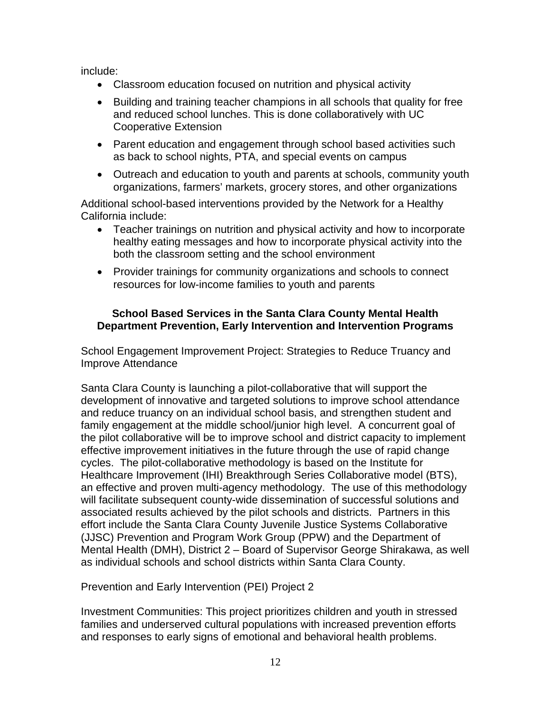include:

- Classroom education focused on nutrition and physical activity
- Building and training teacher champions in all schools that quality for free and reduced school lunches. This is done collaboratively with UC Cooperative Extension
- Parent education and engagement through school based activities such as back to school nights, PTA, and special events on campus
- Outreach and education to youth and parents at schools, community youth organizations, farmers' markets, grocery stores, and other organizations

Additional school-based interventions provided by the Network for a Healthy California include:

- Teacher trainings on nutrition and physical activity and how to incorporate healthy eating messages and how to incorporate physical activity into the both the classroom setting and the school environment
- Provider trainings for community organizations and schools to connect resources for low-income families to youth and parents

#### **School Based Services in the Santa Clara County Mental Health Department Prevention, Early Intervention and Intervention Programs**

School Engagement Improvement Project: Strategies to Reduce Truancy and Improve Attendance

Santa Clara County is launching a pilot-collaborative that will support the development of innovative and targeted solutions to improve school attendance and reduce truancy on an individual school basis, and strengthen student and family engagement at the middle school/junior high level. A concurrent goal of the pilot collaborative will be to improve school and district capacity to implement effective improvement initiatives in the future through the use of rapid change cycles. The pilot-collaborative methodology is based on the Institute for Healthcare Improvement (IHI) Breakthrough Series Collaborative model (BTS), an effective and proven multi-agency methodology. The use of this methodology will facilitate subsequent county-wide dissemination of successful solutions and associated results achieved by the pilot schools and districts. Partners in this effort include the Santa Clara County Juvenile Justice Systems Collaborative (JJSC) Prevention and Program Work Group (PPW) and the Department of Mental Health (DMH), District 2 – Board of Supervisor George Shirakawa, as well as individual schools and school districts within Santa Clara County.

Prevention and Early Intervention (PEI) Project 2

Investment Communities: This project prioritizes children and youth in stressed families and underserved cultural populations with increased prevention efforts and responses to early signs of emotional and behavioral health problems.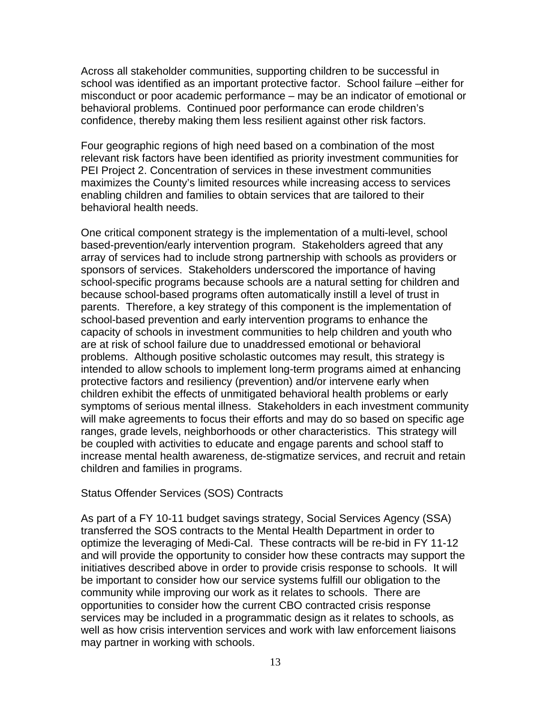Across all stakeholder communities, supporting children to be successful in school was identified as an important protective factor. School failure –either for misconduct or poor academic performance – may be an indicator of emotional or behavioral problems. Continued poor performance can erode children's confidence, thereby making them less resilient against other risk factors.

Four geographic regions of high need based on a combination of the most relevant risk factors have been identified as priority investment communities for PEI Project 2. Concentration of services in these investment communities maximizes the County's limited resources while increasing access to services enabling children and families to obtain services that are tailored to their behavioral health needs.

One critical component strategy is the implementation of a multi-level, school based-prevention/early intervention program. Stakeholders agreed that any array of services had to include strong partnership with schools as providers or sponsors of services. Stakeholders underscored the importance of having school-specific programs because schools are a natural setting for children and because school-based programs often automatically instill a level of trust in parents. Therefore, a key strategy of this component is the implementation of school-based prevention and early intervention programs to enhance the capacity of schools in investment communities to help children and youth who are at risk of school failure due to unaddressed emotional or behavioral problems. Although positive scholastic outcomes may result, this strategy is intended to allow schools to implement long-term programs aimed at enhancing protective factors and resiliency (prevention) and/or intervene early when children exhibit the effects of unmitigated behavioral health problems or early symptoms of serious mental illness. Stakeholders in each investment community will make agreements to focus their efforts and may do so based on specific age ranges, grade levels, neighborhoods or other characteristics. This strategy will be coupled with activities to educate and engage parents and school staff to increase mental health awareness, de-stigmatize services, and recruit and retain children and families in programs.

#### Status Offender Services (SOS) Contracts

As part of a FY 10-11 budget savings strategy, Social Services Agency (SSA) transferred the SOS contracts to the Mental Health Department in order to optimize the leveraging of Medi-Cal. These contracts will be re-bid in FY 11-12 and will provide the opportunity to consider how these contracts may support the initiatives described above in order to provide crisis response to schools. It will be important to consider how our service systems fulfill our obligation to the community while improving our work as it relates to schools. There are opportunities to consider how the current CBO contracted crisis response services may be included in a programmatic design as it relates to schools, as well as how crisis intervention services and work with law enforcement liaisons may partner in working with schools.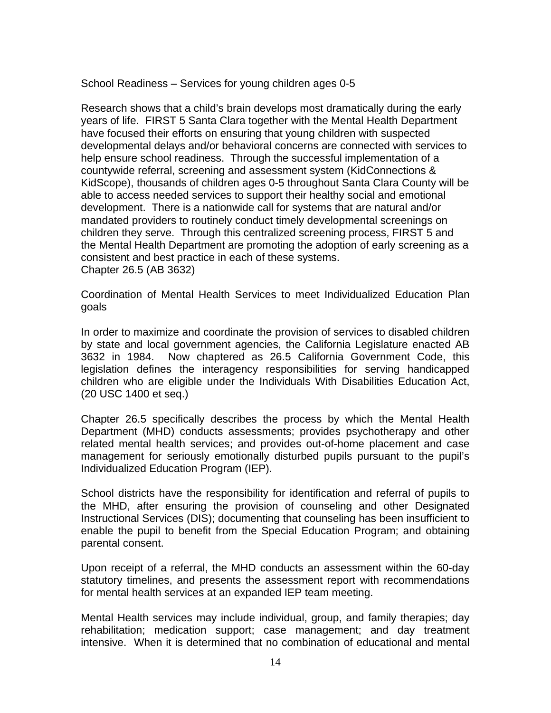School Readiness – Services for young children ages 0-5

Research shows that a child's brain develops most dramatically during the early years of life. FIRST 5 Santa Clara together with the Mental Health Department have focused their efforts on ensuring that young children with suspected developmental delays and/or behavioral concerns are connected with services to help ensure school readiness. Through the successful implementation of a countywide referral, screening and assessment system (KidConnections & KidScope), thousands of children ages 0-5 throughout Santa Clara County will be able to access needed services to support their healthy social and emotional development. There is a nationwide call for systems that are natural and/or mandated providers to routinely conduct timely developmental screenings on children they serve. Through this centralized screening process, FIRST 5 and the Mental Health Department are promoting the adoption of early screening as a consistent and best practice in each of these systems. Chapter 26.5 (AB 3632)

Coordination of Mental Health Services to meet Individualized Education Plan goals

In order to maximize and coordinate the provision of services to disabled children by state and local government agencies, the California Legislature enacted AB 3632 in 1984. Now chaptered as 26.5 California Government Code, this legislation defines the interagency responsibilities for serving handicapped children who are eligible under the Individuals With Disabilities Education Act, (20 USC 1400 et seq.)

Chapter 26.5 specifically describes the process by which the Mental Health Department (MHD) conducts assessments; provides psychotherapy and other related mental health services; and provides out-of-home placement and case management for seriously emotionally disturbed pupils pursuant to the pupil's Individualized Education Program (IEP).

School districts have the responsibility for identification and referral of pupils to the MHD, after ensuring the provision of counseling and other Designated Instructional Services (DIS); documenting that counseling has been insufficient to enable the pupil to benefit from the Special Education Program; and obtaining parental consent.

Upon receipt of a referral, the MHD conducts an assessment within the 60-day statutory timelines, and presents the assessment report with recommendations for mental health services at an expanded IEP team meeting.

Mental Health services may include individual, group, and family therapies; day rehabilitation; medication support; case management; and day treatment intensive. When it is determined that no combination of educational and mental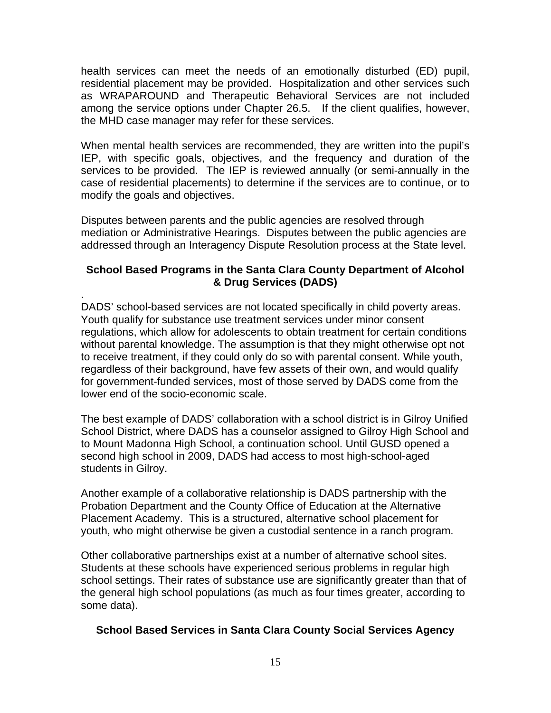health services can meet the needs of an emotionally disturbed (ED) pupil, residential placement may be provided. Hospitalization and other services such as WRAPAROUND and Therapeutic Behavioral Services are not included among the service options under Chapter 26.5. If the client qualifies, however, the MHD case manager may refer for these services.

When mental health services are recommended, they are written into the pupil's IEP, with specific goals, objectives, and the frequency and duration of the services to be provided. The IEP is reviewed annually (or semi-annually in the case of residential placements) to determine if the services are to continue, or to modify the goals and objectives.

Disputes between parents and the public agencies are resolved through mediation or Administrative Hearings. Disputes between the public agencies are addressed through an Interagency Dispute Resolution process at the State level.

#### **School Based Programs in the Santa Clara County Department of Alcohol & Drug Services (DADS)**

. DADS' school-based services are not located specifically in child poverty areas. Youth qualify for substance use treatment services under minor consent regulations, which allow for adolescents to obtain treatment for certain conditions without parental knowledge. The assumption is that they might otherwise opt not to receive treatment, if they could only do so with parental consent. While youth, regardless of their background, have few assets of their own, and would qualify for government-funded services, most of those served by DADS come from the lower end of the socio-economic scale.

The best example of DADS' collaboration with a school district is in Gilroy Unified School District, where DADS has a counselor assigned to Gilroy High School and to Mount Madonna High School, a continuation school. Until GUSD opened a second high school in 2009, DADS had access to most high-school-aged students in Gilroy.

Another example of a collaborative relationship is DADS partnership with the Probation Department and the County Office of Education at the Alternative Placement Academy. This is a structured, alternative school placement for youth, who might otherwise be given a custodial sentence in a ranch program.

Other collaborative partnerships exist at a number of alternative school sites. Students at these schools have experienced serious problems in regular high school settings. Their rates of substance use are significantly greater than that of the general high school populations (as much as four times greater, according to some data).

#### **School Based Services in Santa Clara County Social Services Agency**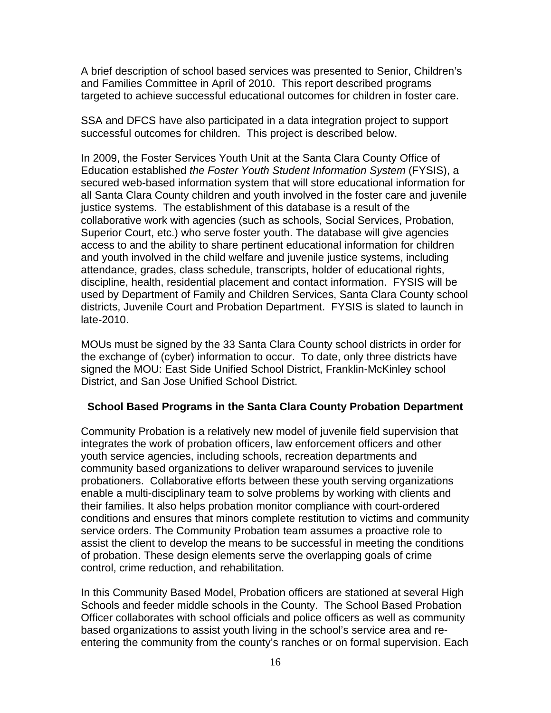A brief description of school based services was presented to Senior, Children's and Families Committee in April of 2010. This report described programs targeted to achieve successful educational outcomes for children in foster care.

SSA and DFCS have also participated in a data integration project to support successful outcomes for children. This project is described below.

In 2009, the Foster Services Youth Unit at the Santa Clara County Office of Education established *the Foster Youth Student Information System* (FYSIS), a secured web-based information system that will store educational information for all Santa Clara County children and youth involved in the foster care and juvenile justice systems. The establishment of this database is a result of the collaborative work with agencies (such as schools, Social Services, Probation, Superior Court, etc.) who serve foster youth. The database will give agencies access to and the ability to share pertinent educational information for children and youth involved in the child welfare and juvenile justice systems, including attendance, grades, class schedule, transcripts, holder of educational rights, discipline, health, residential placement and contact information. FYSIS will be used by Department of Family and Children Services, Santa Clara County school districts, Juvenile Court and Probation Department. FYSIS is slated to launch in late-2010.

MOUs must be signed by the 33 Santa Clara County school districts in order for the exchange of (cyber) information to occur. To date, only three districts have signed the MOU: East Side Unified School District, Franklin-McKinley school District, and San Jose Unified School District.

#### **School Based Programs in the Santa Clara County Probation Department**

Community Probation is a relatively new model of juvenile field supervision that integrates the work of probation officers, law enforcement officers and other youth service agencies, including schools, recreation departments and community based organizations to deliver wraparound services to juvenile probationers. Collaborative efforts between these youth serving organizations enable a multi-disciplinary team to solve problems by working with clients and their families. It also helps probation monitor compliance with court-ordered conditions and ensures that minors complete restitution to victims and community service orders. The Community Probation team assumes a proactive role to assist the client to develop the means to be successful in meeting the conditions of probation. These design elements serve the overlapping goals of crime control, crime reduction, and rehabilitation.

In this Community Based Model, Probation officers are stationed at several High Schools and feeder middle schools in the County. The School Based Probation Officer collaborates with school officials and police officers as well as community based organizations to assist youth living in the school's service area and reentering the community from the county's ranches or on formal supervision. Each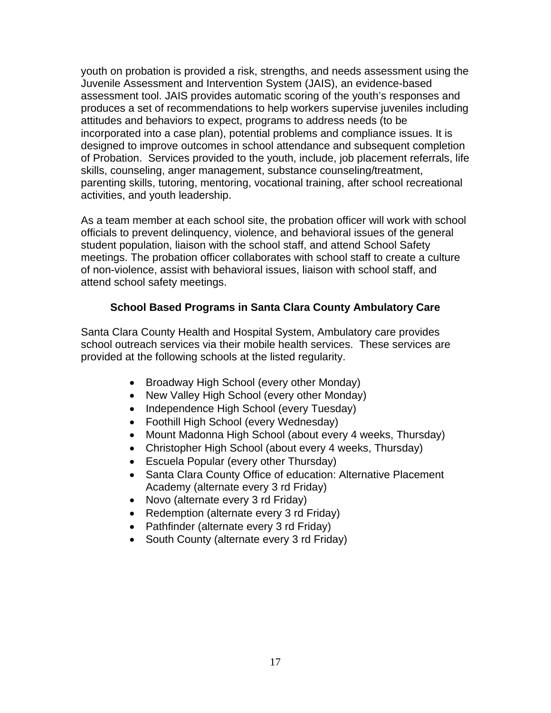youth on probation is provided a risk, strengths, and needs assessment using the Juvenile Assessment and Intervention System (JAIS), an evidence-based assessment tool. JAIS provides automatic scoring of the youth's responses and produces a set of recommendations to help workers supervise juveniles including attitudes and behaviors to expect, programs to address needs (to be incorporated into a case plan), potential problems and compliance issues. It is designed to improve outcomes in school attendance and subsequent completion of Probation. Services provided to the youth, include, job placement referrals, life skills, counseling, anger management, substance counseling/treatment, parenting skills, tutoring, mentoring, vocational training, after school recreational activities, and youth leadership.

As a team member at each school site, the probation officer will work with school officials to prevent delinquency, violence, and behavioral issues of the general student population, liaison with the school staff, and attend School Safety meetings. The probation officer collaborates with school staff to create a culture of non-violence, assist with behavioral issues, liaison with school staff, and attend school safety meetings.

#### **School Based Programs in Santa Clara County Ambulatory Care**

Santa Clara County Health and Hospital System, Ambulatory care provides school outreach services via their mobile health services. These services are provided at the following schools at the listed regularity.

- Broadway High School (every other Monday)
- New Valley High School (every other Monday)
- Independence High School (every Tuesday)
- Foothill High School (every Wednesday)
- Mount Madonna High School (about every 4 weeks, Thursday)
- Christopher High School (about every 4 weeks, Thursday)
- Escuela Popular (every other Thursday)
- Santa Clara County Office of education: Alternative Placement Academy (alternate every 3 rd Friday)
- Novo (alternate every 3 rd Friday)
- Redemption (alternate every 3 rd Friday)
- Pathfinder (alternate every 3 rd Friday)
- South County (alternate every 3 rd Friday)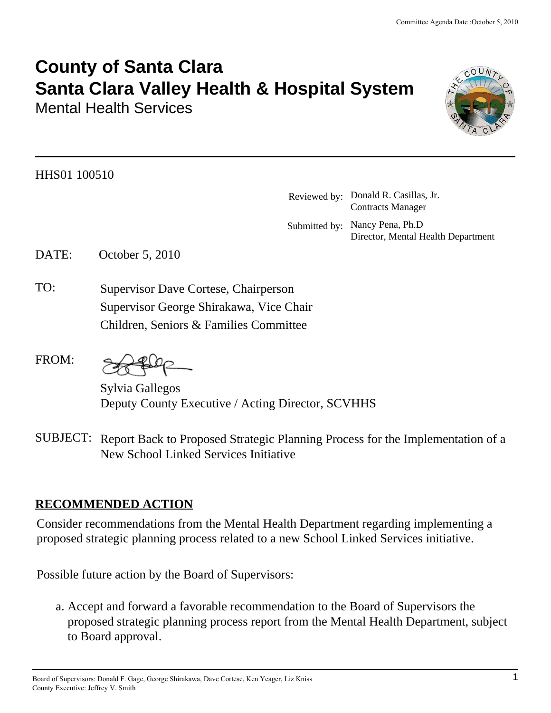# **County of Santa Clara Santa Clara Valley Health & Hospital System**

Mental Health Services

HHS01 100510 .

Reviewed by:. Donald R. Casillas, Jr. Contracts Manager Submitted by: Nancy Pena, Ph.D Director, Mental Health Department

DATE: October 5, 2010

TO: Supervisor Dave Cortese, Chairperson Supervisor.George.Shirakawa, Vice Chair Children, Seniors & Families Committee

FROM:

Sylvia Gallegos Deputy County Executive / Acting Director, SCVHHS

SUBJECT: Report Back to Proposed Strategic Planning Process for the Implementation of a New School Linked Services Initiative

# **RECOMMENDED ACTION**

Consider recommendations from the Mental Health Department regarding implementing a proposed strategic planning process related to a new School Linked Services initiative.

Possible future action by the Board of Supervisors:

Accept and forward a favorable recommendation to the Board of Supervisors the a. proposed strategic planning process report from the Mental Health Department, subject to Board approval.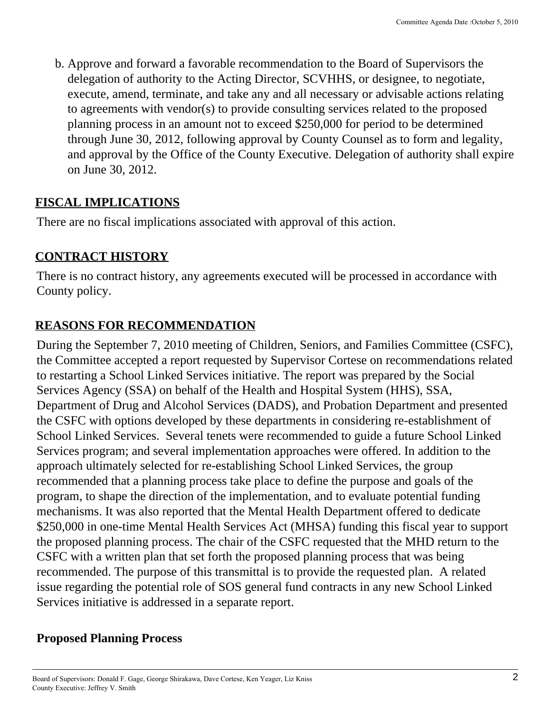b. Approve and forward a favorable recommendation to the Board of Supervisors the delegation of authority to the Acting Director, SCVHHS, or designee, to negotiate, execute, amend, terminate, and take any and all necessary or advisable actions relating to agreements with vendor(s) to provide consulting services related to the proposed planning process in an amount not to exceed \$250,000 for period to be determined through June 30, 2012, following approval by County Counsel as to form and legality, and approval by the Office of the County Executive. Delegation of authority shall expire on June 30, 2012.

# **FISCAL IMPLICATIONS**

There are no fiscal implications associated with approval of this action.

# **CONTRACT HISTORY**

There is no contract history, any agreements executed will be processed in accordance with County policy.

# **REASONS FOR RECOMMENDATION**

During the September 7, 2010 meeting of Children, Seniors, and Families Committee (CSFC), the Committee accepted a report requested by Supervisor Cortese on recommendations related to restarting a School Linked Services initiative. The report was prepared by the Social Services Agency (SSA) on behalf of the Health and Hospital System (HHS), SSA, Department of Drug and Alcohol Services (DADS), and Probation Department and presented the CSFC with options developed by these departments in considering re-establishment of School Linked Services. Several tenets were recommended to guide a future School Linked Services program; and several implementation approaches were offered. In addition to the approach ultimately selected for re-establishing School Linked Services, the group recommended that a planning process take place to define the purpose and goals of the program, to shape the direction of the implementation, and to evaluate potential funding mechanisms. It was also reported that the Mental Health Department offered to dedicate \$250,000 in one-time Mental Health Services Act (MHSA) funding this fiscal year to support the proposed planning process. The chair of the CSFC requested that the MHD return to the CSFC with a written plan that set forth the proposed planning process that was being recommended. The purpose of this transmittal is to provide the requested plan. A related issue regarding the potential role of SOS general fund contracts in any new School Linked Services initiative is addressed in a separate report.

# **Proposed Planning Process**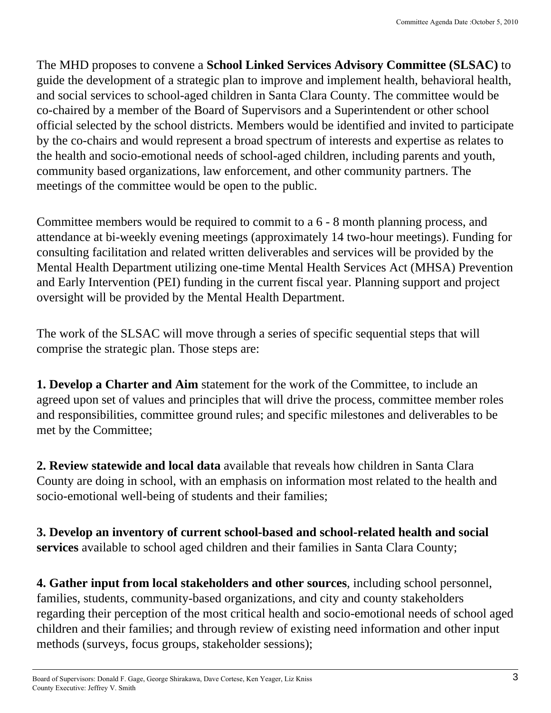The MHD proposes to convene a **School Linked Services Advisory Committee (SLSAC)** to guide the development of a strategic plan to improve and implement health, behavioral health, and social services to school-aged children in Santa Clara County. The committee would be co-chaired by a member of the Board of Supervisors and a Superintendent or other school official selected by the school districts. Members would be identified and invited to participate by the co-chairs and would represent a broad spectrum of interests and expertise as relates to the health and socio-emotional needs of school-aged children, including parents and youth, community based organizations, law enforcement, and other community partners. The meetings of the committee would be open to the public.

Committee members would be required to commit to a 6 - 8 month planning process, and attendance at bi-weekly evening meetings (approximately 14 two-hour meetings). Funding for consulting facilitation and related written deliverables and services will be provided by the Mental Health Department utilizing one-time Mental Health Services Act (MHSA) Prevention and Early Intervention (PEI) funding in the current fiscal year. Planning support and project oversight will be provided by the Mental Health Department.

The work of the SLSAC will move through a series of specific sequential steps that will comprise the strategic plan. Those steps are:

**1. Develop a Charter and Aim** statement for the work of the Committee, to include an agreed upon set of values and principles that will drive the process, committee member roles and responsibilities, committee ground rules; and specific milestones and deliverables to be met by the Committee;

**2. Review statewide and local data** available that reveals how children in Santa Clara County are doing in school, with an emphasis on information most related to the health and socio-emotional well-being of students and their families;

**3. Develop an inventory of current school-based and school-related health and social services** available to school aged children and their families in Santa Clara County;

**4. Gather input from local stakeholders and other sources**, including school personnel, families, students, community-based organizations, and city and county stakeholders regarding their perception of the most critical health and socio-emotional needs of school aged children and their families; and through review of existing need information and other input methods (surveys, focus groups, stakeholder sessions);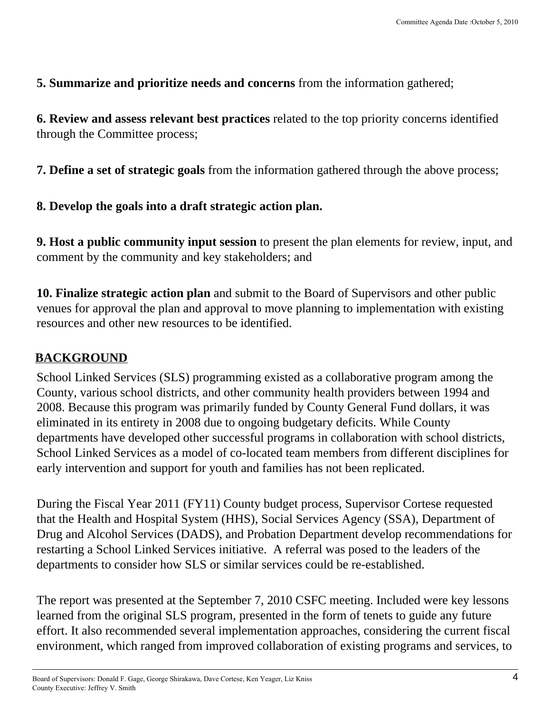#### **5. Summarize and prioritize needs and concerns** from the information gathered;

**6. Review and assess relevant best practices** related to the top priority concerns identified through the Committee process;

**7. Define a set of strategic goals** from the information gathered through the above process;

### **8. Develop the goals into a draft strategic action plan.**

**9. Host a public community input session** to present the plan elements for review, input, and comment by the community and key stakeholders; and

**10. Finalize strategic action plan** and submit to the Board of Supervisors and other public venues for approval the plan and approval to move planning to implementation with existing resources and other new resources to be identified.

# **BACKGROUND**

School Linked Services (SLS) programming existed as a collaborative program among the County, various school districts, and other community health providers between 1994 and 2008. Because this program was primarily funded by County General Fund dollars, it was eliminated in its entirety in 2008 due to ongoing budgetary deficits. While County departments have developed other successful programs in collaboration with school districts, School Linked Services as a model of co-located team members from different disciplines for early intervention and support for youth and families has not been replicated.

During the Fiscal Year 2011 (FY11) County budget process, Supervisor Cortese requested that the Health and Hospital System (HHS), Social Services Agency (SSA), Department of Drug and Alcohol Services (DADS), and Probation Department develop recommendations for restarting a School Linked Services initiative. A referral was posed to the leaders of the departments to consider how SLS or similar services could be re-established.

The report was presented at the September 7, 2010 CSFC meeting. Included were key lessons learned from the original SLS program, presented in the form of tenets to guide any future effort. It also recommended several implementation approaches, considering the current fiscal environment, which ranged from improved collaboration of existing programs and services, to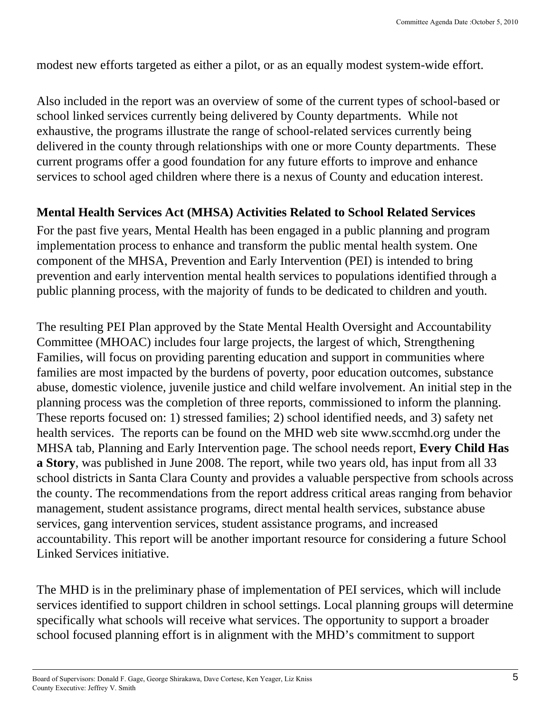modest new efforts targeted as either a pilot, or as an equally modest system-wide effort.

Also included in the report was an overview of some of the current types of school-based or school linked services currently being delivered by County departments. While not exhaustive, the programs illustrate the range of school-related services currently being delivered in the county through relationships with one or more County departments. These current programs offer a good foundation for any future efforts to improve and enhance services to school aged children where there is a nexus of County and education interest.

# **Mental Health Services Act (MHSA) Activities Related to School Related Services**

For the past five years, Mental Health has been engaged in a public planning and program implementation process to enhance and transform the public mental health system. One component of the MHSA, Prevention and Early Intervention (PEI) is intended to bring prevention and early intervention mental health services to populations identified through a public planning process, with the majority of funds to be dedicated to children and youth.

The resulting PEI Plan approved by the State Mental Health Oversight and Accountability Committee (MHOAC) includes four large projects, the largest of which, Strengthening Families, will focus on providing parenting education and support in communities where families are most impacted by the burdens of poverty, poor education outcomes, substance abuse, domestic violence, juvenile justice and child welfare involvement. An initial step in the planning process was the completion of three reports, commissioned to inform the planning. These reports focused on: 1) stressed families; 2) school identified needs, and 3) safety net health services. The reports can be found on the MHD web site www.sccmhd.org under the MHSA tab, Planning and Early Intervention page. The school needs report, **Every Child Has a Story**, was published in June 2008. The report, while two years old, has input from all 33 school districts in Santa Clara County and provides a valuable perspective from schools across the county. The recommendations from the report address critical areas ranging from behavior management, student assistance programs, direct mental health services, substance abuse services, gang intervention services, student assistance programs, and increased accountability. This report will be another important resource for considering a future School Linked Services initiative.

The MHD is in the preliminary phase of implementation of PEI services, which will include services identified to support children in school settings. Local planning groups will determine specifically what schools will receive what services. The opportunity to support a broader school focused planning effort is in alignment with the MHD's commitment to support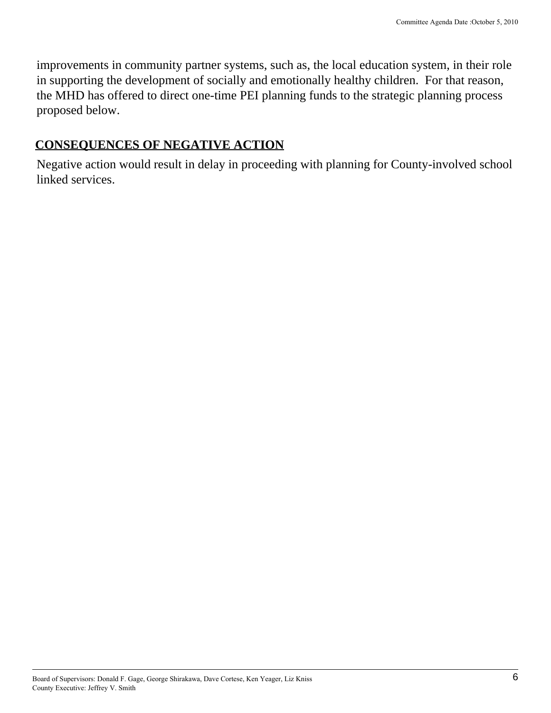improvements in community partner systems, such as, the local education system, in their role in supporting the development of socially and emotionally healthy children. For that reason, the MHD has offered to direct one-time PEI planning funds to the strategic planning process proposed below.

#### **CONSEQUENCES OF NEGATIVE ACTION**

Negative action would result in delay in proceeding with planning for County-involved school linked services.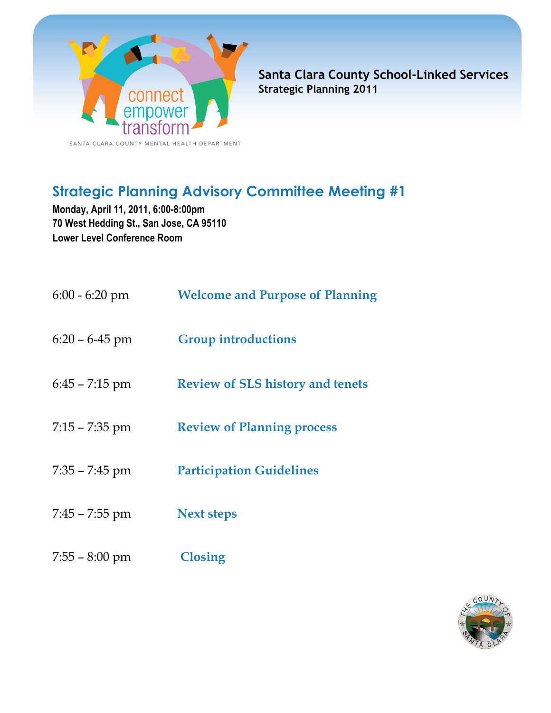

Santa Clara County School-Linked Services Strategic Planning 2011

# Strategic Planning Advisory Committee Meeting #1

Monday, April 11, 2011, 6:00-8:00pm 70 West Hedding St., San Jose, CA 95110 Lower Level Conference Room

| $6:00 - 6:20$ pm   | <b>Welcome and Purpose of Planning</b>  |
|--------------------|-----------------------------------------|
| $6:20 - 6 - 45$ pm | <b>Group introductions</b>              |
| $6:45 - 7:15$ pm   | <b>Review of SLS history and tenets</b> |
| $7:15 - 7:35$ pm   | <b>Review of Planning process</b>       |
| $7:35 - 7:45$ pm   | <b>Participation Guidelines</b>         |
| $7:45 - 7:55$ pm   | <b>Next steps</b>                       |
| $7:55 - 8:00$ pm   | <b>Closing</b>                          |

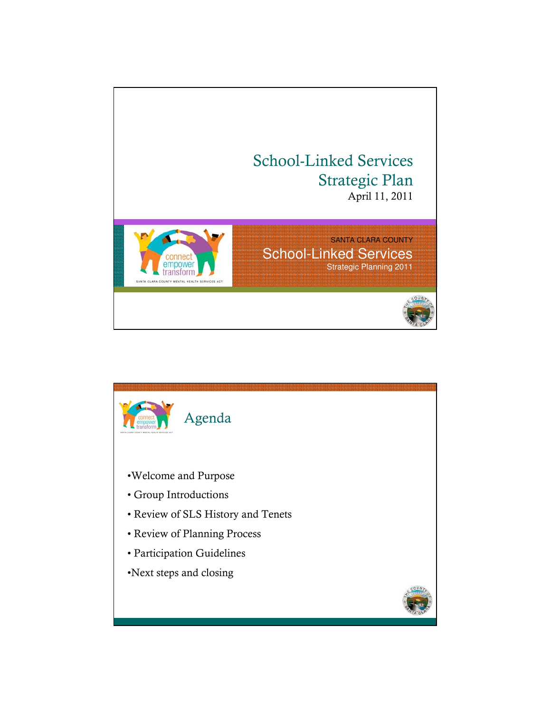

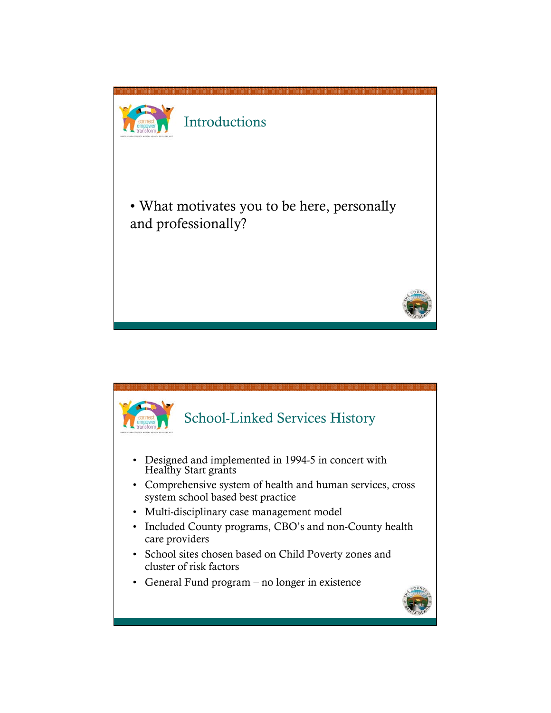

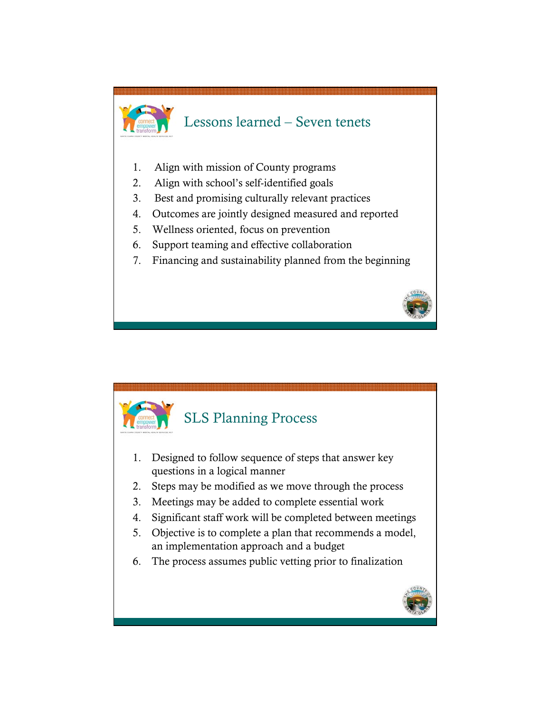



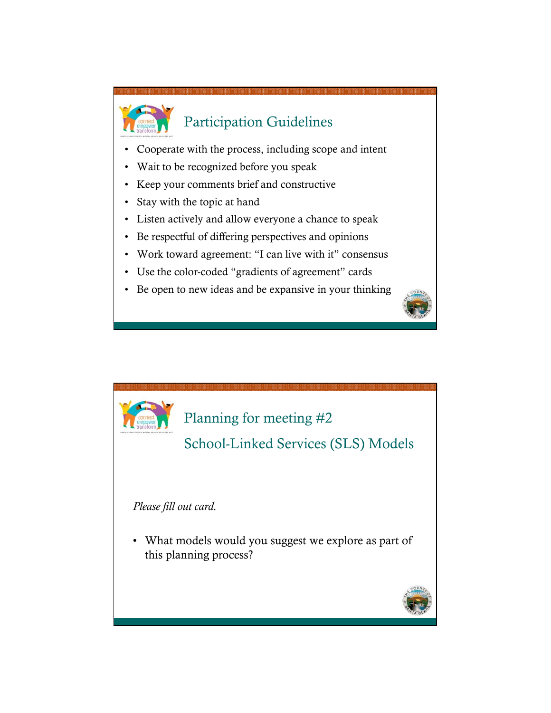

- Cooperate with the process, including scope and intent
- Wait to be recognized before you speak
- Keep your comments brief and constructive
- Stay with the topic at hand
- Listen actively and allow everyone a chance to speak
- Be respectful of differing perspectives and opinions
- Work toward agreement: "I can live with it" consensus
- Use the color-coded "gradients of agreement" cards
- Be open to new ideas and be expansive in your thinking



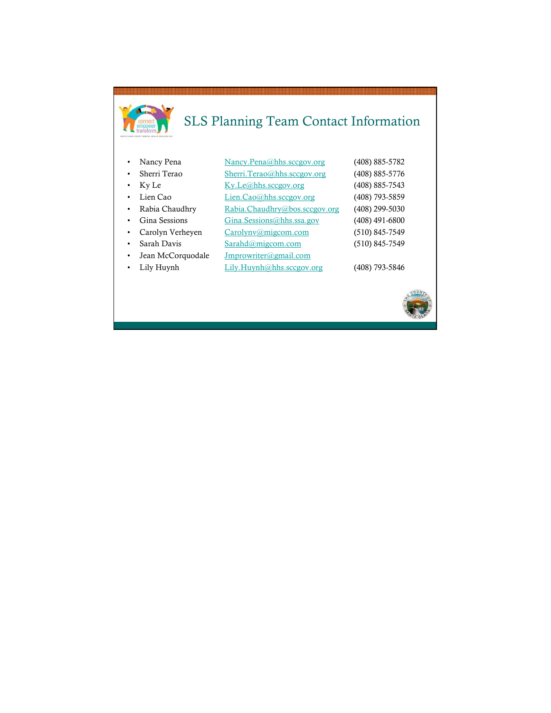# SLS Planning Team Contact Information

| Nancy Pena        | Nancy.Pena@hhs.sccgov.org      | (408) 885-5782 |
|-------------------|--------------------------------|----------------|
| Sherri Terao      | Sherri.Terao@hhs.sccgov.org    | (408) 885-5776 |
| Ky Le             | Ky.Le@hhs.sccgov.org           | (408) 885-7543 |
| Lien Cao          | Lien.Cao@hhs.sccgov.org        | (408) 793-5859 |
| Rabia Chaudhry    | Rabia.Chaudhry@bos.sccgov.org  | (408) 299-5030 |
| Gina Sessions     | $Gina.$ Sessions@hhs.ssa.gov   | (408) 491-6800 |
| Carolyn Verheyen  | Carolynv@migcom.com            | (510) 845-7549 |
| Sarah Davis       | $Sarahd(\partial m)$ igcom.com | (510) 845-7549 |
| Jean McCorquodale | Jmprowriter@gmail.com          |                |
| Lily Huynh        | Lily.Huynh@hhssccegov.org      | (408) 793-5846 |
|                   |                                |                |

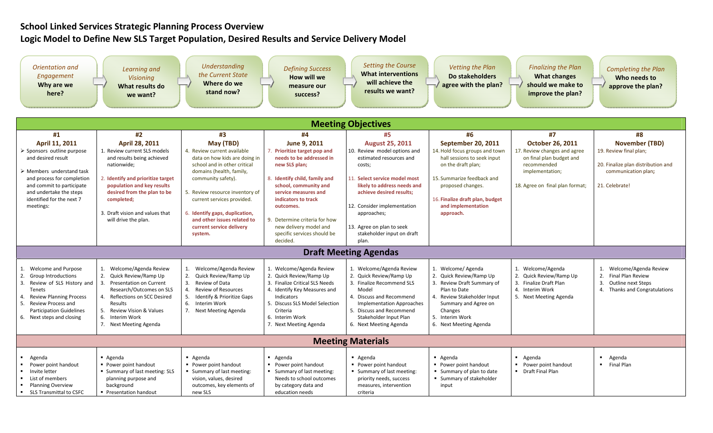# School Linked Services Strategic Planning Process Overview

# Logic Model to Define New SLS Target Population, Desired Results and Service Delivery Model

| Orientation and<br>Engagement<br>Why are we<br>here?                                                                                                                                                                                                          | Learning and<br><b>Visioning</b><br>What results do<br>we want?                                                                                                                                                                                                        | <b>Understanding</b><br>the Current State<br>Where do we<br>stand now?                                                                                                                                                                                                                                                               | <b>Defining Success</b><br>How will we<br>measure our<br>success?                                                                                                                                                                                                                                                     | <b>Setting the Course</b><br><b>What interventions</b><br>will achieve the<br>results we want?                                                                                                                                                                                                            | <b>Vetting the Plan</b><br>Do stakeholders<br>agree with the plan?                                                                                                                                                                        | <b>Finalizing the Plan</b><br><b>What changes</b><br>should we make to<br>improve the plan?                                                              | <b>Completing the Plan</b><br>Who needs to<br>approve the plan?                                                                |  |
|---------------------------------------------------------------------------------------------------------------------------------------------------------------------------------------------------------------------------------------------------------------|------------------------------------------------------------------------------------------------------------------------------------------------------------------------------------------------------------------------------------------------------------------------|--------------------------------------------------------------------------------------------------------------------------------------------------------------------------------------------------------------------------------------------------------------------------------------------------------------------------------------|-----------------------------------------------------------------------------------------------------------------------------------------------------------------------------------------------------------------------------------------------------------------------------------------------------------------------|-----------------------------------------------------------------------------------------------------------------------------------------------------------------------------------------------------------------------------------------------------------------------------------------------------------|-------------------------------------------------------------------------------------------------------------------------------------------------------------------------------------------------------------------------------------------|----------------------------------------------------------------------------------------------------------------------------------------------------------|--------------------------------------------------------------------------------------------------------------------------------|--|
| <b>Meeting Objectives</b>                                                                                                                                                                                                                                     |                                                                                                                                                                                                                                                                        |                                                                                                                                                                                                                                                                                                                                      |                                                                                                                                                                                                                                                                                                                       |                                                                                                                                                                                                                                                                                                           |                                                                                                                                                                                                                                           |                                                                                                                                                          |                                                                                                                                |  |
| #1                                                                                                                                                                                                                                                            | #2                                                                                                                                                                                                                                                                     | #3                                                                                                                                                                                                                                                                                                                                   | #4                                                                                                                                                                                                                                                                                                                    | #5                                                                                                                                                                                                                                                                                                        | #6                                                                                                                                                                                                                                        | #7                                                                                                                                                       | #8                                                                                                                             |  |
| April 11, 2011<br>$\triangleright$ Sponsors outline purpose<br>and desired result<br>$\triangleright$ Members understand task<br>and process for completion<br>and commit to participate<br>and undertake the steps<br>identified for the next 7<br>meetings: | April 28, 2011<br>1. Review current SLS models<br>and results being achieved<br>nationwide;<br>2. Identify and prioritize target<br>population and key results<br>desired from the plan to be<br>completed;<br>3. Draft vision and values that<br>will drive the plan. | May (TBD)<br>4. Review current available<br>data on how kids are doing in<br>school and in other critical<br>domains (health, family,<br>community safety).<br>5. Review resource inventory of<br>current services provided.<br>6. Identify gaps, duplication,<br>and other issues related to<br>current service delivery<br>system. | June 9, 2011<br>7. Prioritize target pop and<br>needs to be addressed in<br>new SLS plan;<br>8. Identify child, family and<br>school, community and<br>service measures and<br>indicators to track<br>outcomes.<br>9. Determine criteria for how<br>new delivery model and<br>specific services should be<br>decided. | <b>August 25, 2011</b><br>10. Review model options and<br>estimated resources and<br>costs;<br>11. Select service model most<br>likely to address needs and<br>achieve desired results:<br>12. Consider implementation<br>approaches;<br>13. Agree on plan to seek<br>stakeholder input on draft<br>plan. | <b>September 20, 2011</b><br>14. Hold focus groups and town<br>hall sessions to seek input<br>on the draft plan;<br>15. Summarize feedback and<br>proposed changes.<br>16. Finalize draft plan, budget<br>and implementation<br>approach. | <b>October 26, 2011</b><br>17. Review changes and agree<br>on final plan budget and<br>recommended<br>implementation;<br>18. Agree on final plan format; | <b>November (TBD)</b><br>19. Review final plan;<br>20. Finalize plan distribution and<br>communication plan;<br>21. Celebrate! |  |
|                                                                                                                                                                                                                                                               | <b>Draft Meeting Agendas</b>                                                                                                                                                                                                                                           |                                                                                                                                                                                                                                                                                                                                      |                                                                                                                                                                                                                                                                                                                       |                                                                                                                                                                                                                                                                                                           |                                                                                                                                                                                                                                           |                                                                                                                                                          |                                                                                                                                |  |
| 1. Welcome and Purpose<br>2. Group Introductions<br>3.<br>Review of SLS History and<br><b>Tenets</b><br><b>Review Planning Process</b><br>4.<br>5. Review Process and<br><b>Participation Guidelines</b><br>6. Next steps and closing                         | 1. Welcome/Agenda Review<br>2. Quick Review/Ramp Up<br>3. Presentation on Current<br>Research/Outcomes on SLS<br>Reflections on SCC Desired<br>$\mathbf{4}$ .<br>Results<br>5.<br>Review Vision & Values<br>6. Interim Work<br>7. Next Meeting Agenda                  | Welcome/Agenda Review<br>1.<br>2.<br>Quick Review/Ramp Up<br>3.<br>Review of Data<br>4.<br><b>Review of Resources</b><br>5.<br>Identify & Prioritize Gaps<br>6. Interim Work<br>7.<br>Next Meeting Agenda                                                                                                                            | 1. Welcome/Agenda Review<br>2. Quick Review/Ramp Up<br>3. Finalize Critical SLS Needs<br>4. Identify Key Measures and<br>Indicators<br>5. Discuss SLS Model Selection<br>Criteria<br>6. Interim Work<br>7. Next Meeting Agenda                                                                                        | 1. Welcome/Agenda Review<br>2. Quick Review/Ramp Up<br>3. Finalize Recommend SLS<br>Model<br>4. Discuss and Recommend<br><b>Implementation Approaches</b><br>5. Discuss and Recommend<br>Stakeholder Input Plan<br>6. Next Meeting Agenda                                                                 | 1. Welcome/Agenda<br>2. Quick Review/Ramp Up<br>3. Review Draft Summary of<br>Plan to Date<br>4. Review Stakeholder Input<br>Summary and Agree on<br>Changes<br>5. Interim Work<br>6. Next Meeting Agenda                                 | 1. Welcome/Agenda<br>2. Quick Review/Ramp Up<br>3. Finalize Draft Plan<br>4. Interim Work<br>5. Next Meeting Agenda                                      | 1. Welcome/Agenda Review<br>2.<br><b>Final Plan Review</b><br>3.<br><b>Outline next Steps</b><br>4. Thanks and Congratulations |  |
| <b>Meeting Materials</b>                                                                                                                                                                                                                                      |                                                                                                                                                                                                                                                                        |                                                                                                                                                                                                                                                                                                                                      |                                                                                                                                                                                                                                                                                                                       |                                                                                                                                                                                                                                                                                                           |                                                                                                                                                                                                                                           |                                                                                                                                                          |                                                                                                                                |  |
| Agenda<br>Power point handout<br>٠.<br>Invite letter<br>$\blacksquare$<br>List of members<br>$\blacksquare$<br><b>Planning Overview</b><br>■ SLS Transmittal to CSFC                                                                                          | Agenda<br>• Power point handout<br>Summary of last meeting: SLS<br>planning purpose and<br>background<br>• Presentation handout                                                                                                                                        | Agenda<br>• Power point handout<br>Summary of last meeting:<br>vision, values, desired<br>outcomes, key elements of<br>new SLS                                                                                                                                                                                                       | - Agenda<br>• Power point handout<br>Summary of last meeting:<br>Needs to school outcomes<br>by category data and<br>education needs                                                                                                                                                                                  | - Agenda<br>• Power point handout<br>• Summary of last meeting:<br>priority needs, success<br>measures, intervention<br>criteria                                                                                                                                                                          | Agenda<br>• Power point handout<br>■ Summary of plan to date<br>■ Summary of stakeholder<br>input                                                                                                                                         | Agenda<br>• Power point handout<br>• Draft Final Plan                                                                                                    | Agenda<br>$\blacksquare$<br>$\mathbf{H}^{\mathrm{max}}$<br><b>Final Plan</b>                                                   |  |